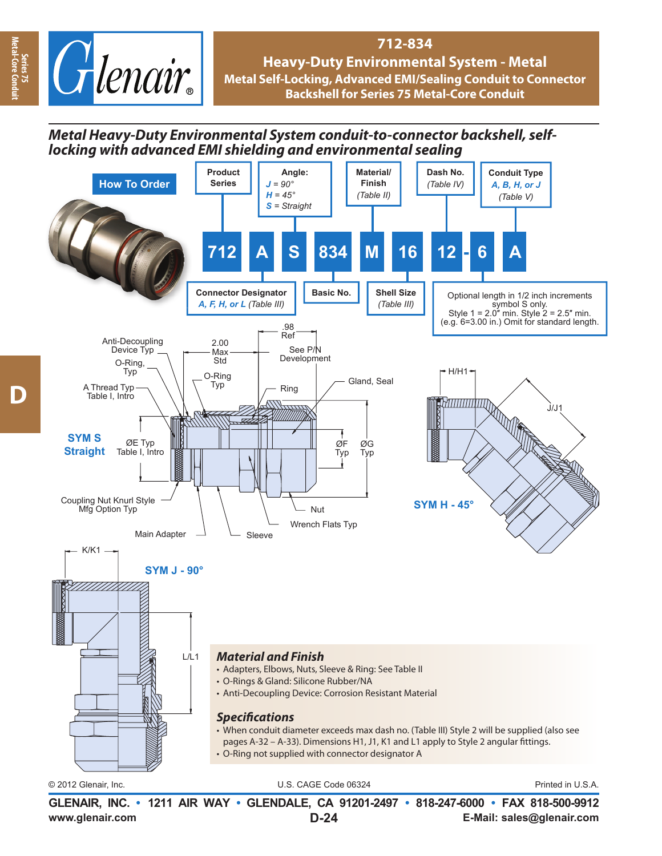

## **712-834 Heavy-Duty Environmental System - Metal Metal Self-Locking, Advanced EMI/Sealing Conduit to Connector Backshell for Series 75 Metal-Core Conduit**

## *Metal Heavy-Duty Environmental System conduit-to-connector backshell, selflocking with advanced EMI shielding and environmental sealing*



**www.glenair.com E-Mail: sales@glenair.com GLENAIR, INC. • 1211 AIR WAY • GLENDALE, CA 91201-2497 • 818-247-6000 • FAX 818-500-9912 D-24**

**Series 75 Metal-Core Conduit**